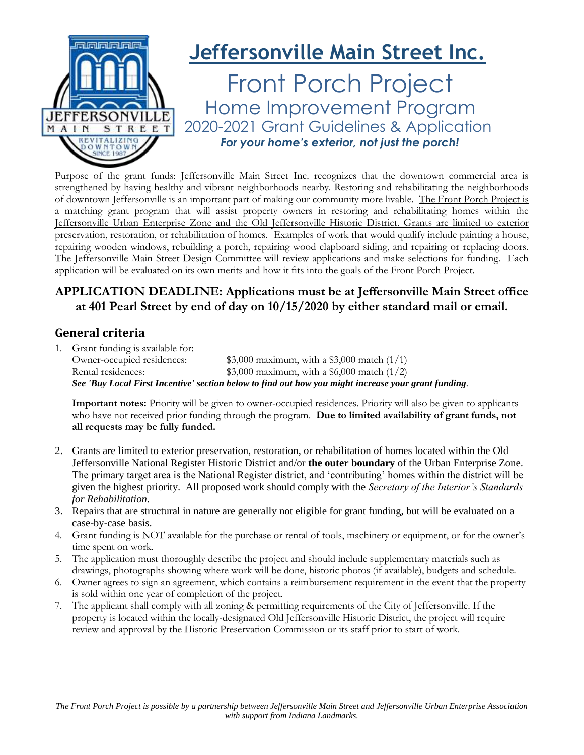

Purpose of the grant funds: Jeffersonville Main Street Inc. recognizes that the downtown commercial area is strengthened by having healthy and vibrant neighborhoods nearby. Restoring and rehabilitating the neighborhoods of downtown Jeffersonville is an important part of making our community more livable. The Front Porch Project is a matching grant program that will assist property owners in restoring and rehabilitating homes within the Jeffersonville Urban Enterprise Zone and the Old Jeffersonville Historic District. Grants are limited to exterior preservation, restoration, or rehabilitation of homes. Examples of work that would qualify include painting a house, repairing wooden windows, rebuilding a porch, repairing wood clapboard siding, and repairing or replacing doors. The Jeffersonville Main Street Design Committee will review applications and make selections for funding. Each application will be evaluated on its own merits and how it fits into the goals of the Front Porch Project.

### **APPLICATION DEADLINE: Applications must be at Jeffersonville Main Street office at 401 Pearl Street by end of day on 10/15/2020 by either standard mail or email.**

#### **General criteria**

1. Grant funding is available for: Owner-occupied residences: \$3,000 maximum, with a \$3,000 match (1/1) Rental residences:  $$3,000$  maximum, with a \$6,000 match (1/2) *See 'Buy Local First Incentive' section below to find out how you might increase your grant funding.* 

**Important notes:** Priority will be given to owner-occupied residences. Priority will also be given to applicants who have not received prior funding through the program. **Due to limited availability of grant funds, not all requests may be fully funded.** 

- 2. Grants are limited to exterior preservation, restoration, or rehabilitation of homes located within the Old Jeffersonville National Register Historic District and/or **the outer boundary** of the Urban Enterprise Zone. The primary target area is the National Register district, and 'contributing' homes within the district will be given the highest priority. All proposed work should comply with the *Secretary of the Interior's Standards for Rehabilitation*.
- 3. Repairs that are structural in nature are generally not eligible for grant funding, but will be evaluated on a case-by-case basis.
- 4. Grant funding is NOT available for the purchase or rental of tools, machinery or equipment, or for the owner's time spent on work.
- 5. The application must thoroughly describe the project and should include supplementary materials such as drawings, photographs showing where work will be done, historic photos (if available), budgets and schedule.
- 6. Owner agrees to sign an agreement, which contains a reimbursement requirement in the event that the property is sold within one year of completion of the project.
- 7. The applicant shall comply with all zoning & permitting requirements of the City of Jeffersonville. If the property is located within the locally-designated Old Jeffersonville Historic District, the project will require review and approval by the Historic Preservation Commission or its staff prior to start of work.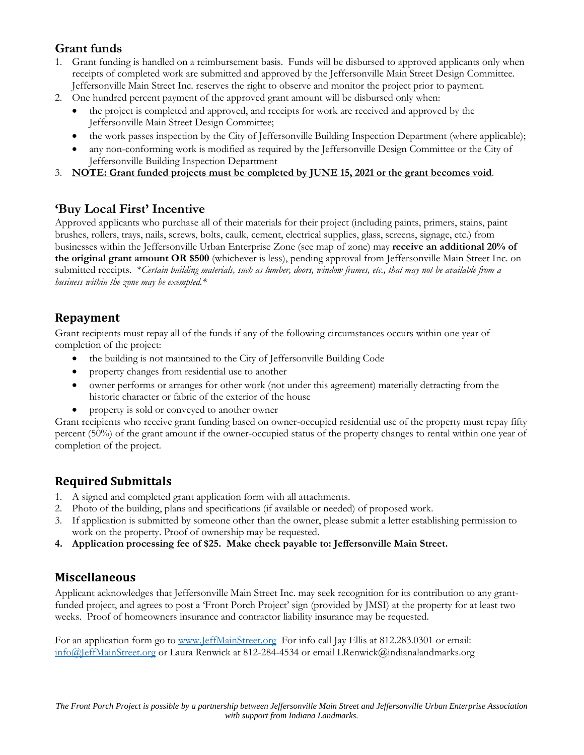## **Grant funds**

- 1. Grant funding is handled on a reimbursement basis. Funds will be disbursed to approved applicants only when receipts of completed work are submitted and approved by the Jeffersonville Main Street Design Committee. Jeffersonville Main Street Inc. reserves the right to observe and monitor the project prior to payment.
- 2. One hundred percent payment of the approved grant amount will be disbursed only when:
	- the project is completed and approved, and receipts for work are received and approved by the Jeffersonville Main Street Design Committee;
	- the work passes inspection by the City of Jeffersonville Building Inspection Department (where applicable);
	- any non-conforming work is modified as required by the Jeffersonville Design Committee or the City of Jeffersonville Building Inspection Department
- 3. **NOTE: Grant funded projects must be completed by JUNE 15, 2021 or the grant becomes void**.

### **'Buy Local First' Incentive**

Approved applicants who purchase all of their materials for their project (including paints, primers, stains, paint brushes, rollers, trays, nails, screws, bolts, caulk, cement, electrical supplies, glass, screens, signage, etc.) from businesses within the Jeffersonville Urban Enterprise Zone (see map of zone) may **receive an additional 20% of the original grant amount OR \$500** (whichever is less), pending approval from Jeffersonville Main Street Inc. on submitted receipts. \**Certain building materials, such as lumber, doors, window frames, etc., that may not be available from a business within the zone may be exempted.\**

### **Repayment**

Grant recipients must repay all of the funds if any of the following circumstances occurs within one year of completion of the project:

- the building is not maintained to the City of Jeffersonville Building Code
- property changes from residential use to another
- owner performs or arranges for other work (not under this agreement) materially detracting from the historic character or fabric of the exterior of the house
- property is sold or conveyed to another owner

Grant recipients who receive grant funding based on owner-occupied residential use of the property must repay fifty percent (50%) of the grant amount if the owner-occupied status of the property changes to rental within one year of completion of the project.

# **Required Submittals**

- 1. A signed and completed grant application form with all attachments.
- 2. Photo of the building, plans and specifications (if available or needed) of proposed work.
- 3. If application is submitted by someone other than the owner, please submit a letter establishing permission to work on the property. Proof of ownership may be requested.
- **4. Application processing fee of \$25. Make check payable to: Jeffersonville Main Street.**

### **Miscellaneous**

Applicant acknowledges that Jeffersonville Main Street Inc. may seek recognition for its contribution to any grantfunded project, and agrees to post a 'Front Porch Project' sign (provided by JMSI) at the property for at least two weeks. Proof of homeowners insurance and contractor liability insurance may be requested.

For an application form go to [www.JeffMainStreet.org](http://www.jeffmainstreet.org/) For info call Jay Ellis at 812.283.0301 or email: [info@JeffMainStreet.org](mailto:info@JeffMainStreet.org) or Laura Renwick at 812-284-4534 or email LRenwick@indianalandmarks.org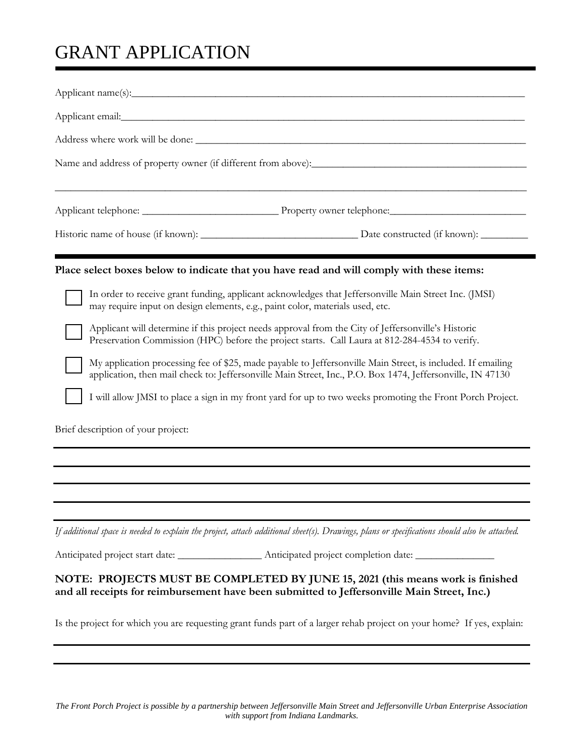# GRANT APPLICATION

|                                                                                                                                                                                        | Place select boxes below to indicate that you have read and will comply with these items:                                                                                                                                 |  |  |  |
|----------------------------------------------------------------------------------------------------------------------------------------------------------------------------------------|---------------------------------------------------------------------------------------------------------------------------------------------------------------------------------------------------------------------------|--|--|--|
| In order to receive grant funding, applicant acknowledges that Jeffersonville Main Street Inc. (JMSI)<br>may require input on design elements, e.g., paint color, materials used, etc. |                                                                                                                                                                                                                           |  |  |  |
|                                                                                                                                                                                        | Applicant will determine if this project needs approval from the City of Jeffersonville's Historic<br>Preservation Commission (HPC) before the project starts. Call Laura at 812-284-4534 to verify.                      |  |  |  |
|                                                                                                                                                                                        | My application processing fee of \$25, made payable to Jeffersonville Main Street, is included. If emailing<br>application, then mail check to: Jeffersonville Main Street, Inc., P.O. Box 1474, Jeffersonville, IN 47130 |  |  |  |
|                                                                                                                                                                                        | I will allow JMSI to place a sign in my front yard for up to two weeks promoting the Front Porch Project.                                                                                                                 |  |  |  |
| Brief description of your project:                                                                                                                                                     |                                                                                                                                                                                                                           |  |  |  |
|                                                                                                                                                                                        |                                                                                                                                                                                                                           |  |  |  |
|                                                                                                                                                                                        |                                                                                                                                                                                                                           |  |  |  |
|                                                                                                                                                                                        |                                                                                                                                                                                                                           |  |  |  |
|                                                                                                                                                                                        | If additional space is needed to explain the project, attach additional sheet(s). Drawings, plans or specifications should also be attached.                                                                              |  |  |  |
|                                                                                                                                                                                        | Anticipated project start date: ________________________Anticipated project completion date: _________________                                                                                                            |  |  |  |
|                                                                                                                                                                                        | NOTE: PROJECTS MUST BE COMPLETED BY JUNE 15, 2021 (this means work is finished<br>and all receipts for reimbursement have been submitted to Jeffersonville Main Street, Inc.)                                             |  |  |  |
|                                                                                                                                                                                        | Is the project for which you are requesting grant funds part of a larger rehab project on your home? If yes, explain:                                                                                                     |  |  |  |